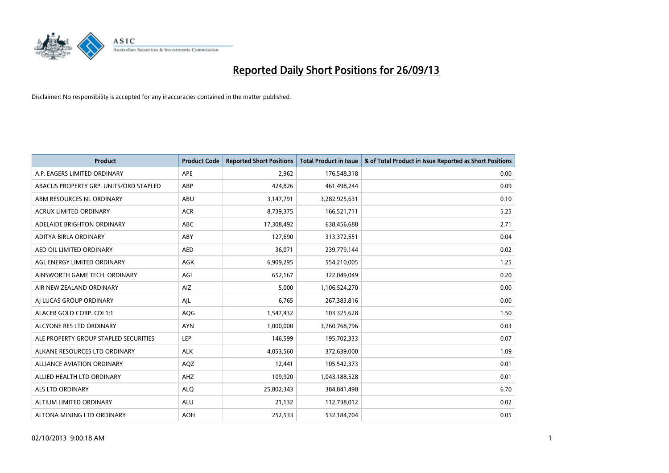

| <b>Product</b>                         | <b>Product Code</b> | <b>Reported Short Positions</b> | <b>Total Product in Issue</b> | % of Total Product in Issue Reported as Short Positions |
|----------------------------------------|---------------------|---------------------------------|-------------------------------|---------------------------------------------------------|
| A.P. EAGERS LIMITED ORDINARY           | APE                 | 2,962                           | 176,548,318                   | 0.00                                                    |
| ABACUS PROPERTY GRP. UNITS/ORD STAPLED | ABP                 | 424,826                         | 461,498,244                   | 0.09                                                    |
| ABM RESOURCES NL ORDINARY              | ABU                 | 3,147,791                       | 3,282,925,631                 | 0.10                                                    |
| ACRUX LIMITED ORDINARY                 | <b>ACR</b>          | 8,739,375                       | 166,521,711                   | 5.25                                                    |
| ADELAIDE BRIGHTON ORDINARY             | <b>ABC</b>          | 17,308,492                      | 638,456,688                   | 2.71                                                    |
| ADITYA BIRLA ORDINARY                  | ABY                 | 127,690                         | 313,372,551                   | 0.04                                                    |
| AED OIL LIMITED ORDINARY               | <b>AED</b>          | 36,071                          | 239,779,144                   | 0.02                                                    |
| AGL ENERGY LIMITED ORDINARY            | AGK                 | 6,909,295                       | 554,210,005                   | 1.25                                                    |
| AINSWORTH GAME TECH. ORDINARY          | AGI                 | 652,167                         | 322,049,049                   | 0.20                                                    |
| AIR NEW ZEALAND ORDINARY               | <b>AIZ</b>          | 5,000                           | 1,106,524,270                 | 0.00                                                    |
| AI LUCAS GROUP ORDINARY                | AJL                 | 6,765                           | 267,383,816                   | 0.00                                                    |
| ALACER GOLD CORP. CDI 1:1              | AQG                 | 1,547,432                       | 103,325,628                   | 1.50                                                    |
| ALCYONE RES LTD ORDINARY               | <b>AYN</b>          | 1,000,000                       | 3,760,768,796                 | 0.03                                                    |
| ALE PROPERTY GROUP STAPLED SECURITIES  | LEP                 | 146,599                         | 195,702,333                   | 0.07                                                    |
| ALKANE RESOURCES LTD ORDINARY          | <b>ALK</b>          | 4,053,560                       | 372,639,000                   | 1.09                                                    |
| ALLIANCE AVIATION ORDINARY             | AQZ                 | 12,441                          | 105,542,373                   | 0.01                                                    |
| ALLIED HEALTH LTD ORDINARY             | AHZ                 | 109,920                         | 1,043,188,528                 | 0.01                                                    |
| <b>ALS LTD ORDINARY</b>                | <b>ALQ</b>          | 25,802,343                      | 384,841,498                   | 6.70                                                    |
| ALTIUM LIMITED ORDINARY                | <b>ALU</b>          | 21,132                          | 112,738,012                   | 0.02                                                    |
| ALTONA MINING LTD ORDINARY             | <b>AOH</b>          | 252,533                         | 532,184,704                   | 0.05                                                    |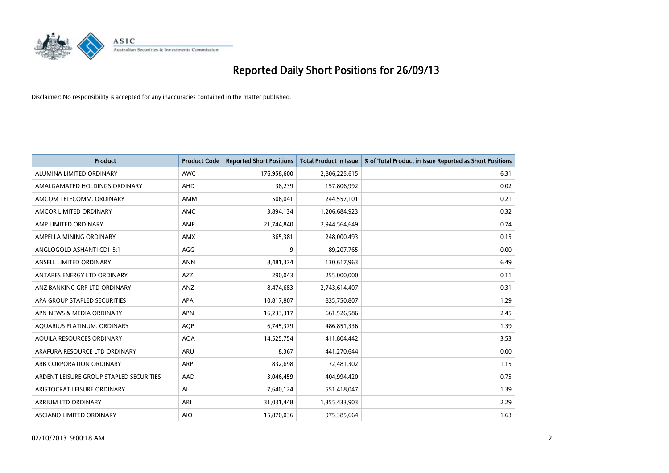

| <b>Product</b>                          | <b>Product Code</b> | <b>Reported Short Positions</b> | <b>Total Product in Issue</b> | % of Total Product in Issue Reported as Short Positions |
|-----------------------------------------|---------------------|---------------------------------|-------------------------------|---------------------------------------------------------|
| ALUMINA LIMITED ORDINARY                | <b>AWC</b>          | 176,958,600                     | 2,806,225,615                 | 6.31                                                    |
| AMALGAMATED HOLDINGS ORDINARY           | <b>AHD</b>          | 38,239                          | 157,806,992                   | 0.02                                                    |
| AMCOM TELECOMM. ORDINARY                | AMM                 | 506,041                         | 244,557,101                   | 0.21                                                    |
| AMCOR LIMITED ORDINARY                  | AMC                 | 3,894,134                       | 1,206,684,923                 | 0.32                                                    |
| AMP LIMITED ORDINARY                    | AMP                 | 21,744,840                      | 2,944,564,649                 | 0.74                                                    |
| AMPELLA MINING ORDINARY                 | AMX                 | 365,381                         | 248,000,493                   | 0.15                                                    |
| ANGLOGOLD ASHANTI CDI 5:1               | AGG                 | 9                               | 89,207,765                    | 0.00                                                    |
| ANSELL LIMITED ORDINARY                 | <b>ANN</b>          | 8,481,374                       | 130,617,963                   | 6.49                                                    |
| ANTARES ENERGY LTD ORDINARY             | <b>AZZ</b>          | 290,043                         | 255,000,000                   | 0.11                                                    |
| ANZ BANKING GRP LTD ORDINARY            | ANZ                 | 8,474,683                       | 2,743,614,407                 | 0.31                                                    |
| APA GROUP STAPLED SECURITIES            | APA                 | 10,817,807                      | 835,750,807                   | 1.29                                                    |
| APN NEWS & MEDIA ORDINARY               | <b>APN</b>          | 16,233,317                      | 661,526,586                   | 2.45                                                    |
| AQUARIUS PLATINUM. ORDINARY             | <b>AOP</b>          | 6,745,379                       | 486,851,336                   | 1.39                                                    |
| AOUILA RESOURCES ORDINARY               | <b>AQA</b>          | 14,525,754                      | 411,804,442                   | 3.53                                                    |
| ARAFURA RESOURCE LTD ORDINARY           | ARU                 | 8,367                           | 441,270,644                   | 0.00                                                    |
| ARB CORPORATION ORDINARY                | ARP                 | 832,698                         | 72,481,302                    | 1.15                                                    |
| ARDENT LEISURE GROUP STAPLED SECURITIES | AAD                 | 3,046,459                       | 404,994,420                   | 0.75                                                    |
| ARISTOCRAT LEISURE ORDINARY             | ALL                 | 7,640,124                       | 551,418,047                   | 1.39                                                    |
| ARRIUM LTD ORDINARY                     | ARI                 | 31,031,448                      | 1,355,433,903                 | 2.29                                                    |
| ASCIANO LIMITED ORDINARY                | <b>AIO</b>          | 15,870,036                      | 975,385,664                   | 1.63                                                    |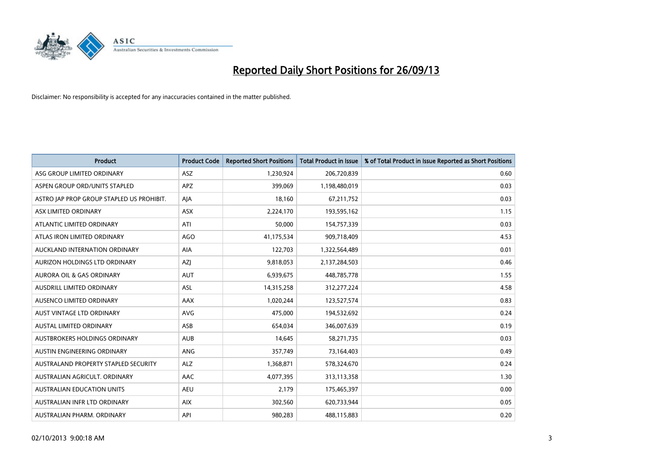

| <b>Product</b>                            | <b>Product Code</b> | <b>Reported Short Positions</b> | <b>Total Product in Issue</b> | % of Total Product in Issue Reported as Short Positions |
|-------------------------------------------|---------------------|---------------------------------|-------------------------------|---------------------------------------------------------|
| ASG GROUP LIMITED ORDINARY                | <b>ASZ</b>          | 1,230,924                       | 206,720,839                   | 0.60                                                    |
| ASPEN GROUP ORD/UNITS STAPLED             | <b>APZ</b>          | 399,069                         | 1,198,480,019                 | 0.03                                                    |
| ASTRO JAP PROP GROUP STAPLED US PROHIBIT. | AJA                 | 18,160                          | 67,211,752                    | 0.03                                                    |
| ASX LIMITED ORDINARY                      | ASX                 | 2,224,170                       | 193,595,162                   | 1.15                                                    |
| ATLANTIC LIMITED ORDINARY                 | ATI                 | 50,000                          | 154,757,339                   | 0.03                                                    |
| ATLAS IRON LIMITED ORDINARY               | <b>AGO</b>          | 41,175,534                      | 909,718,409                   | 4.53                                                    |
| AUCKLAND INTERNATION ORDINARY             | AIA                 | 122,703                         | 1,322,564,489                 | 0.01                                                    |
| AURIZON HOLDINGS LTD ORDINARY             | AZJ                 | 9,818,053                       | 2,137,284,503                 | 0.46                                                    |
| <b>AURORA OIL &amp; GAS ORDINARY</b>      | <b>AUT</b>          | 6,939,675                       | 448,785,778                   | 1.55                                                    |
| AUSDRILL LIMITED ORDINARY                 | ASL                 | 14,315,258                      | 312,277,224                   | 4.58                                                    |
| AUSENCO LIMITED ORDINARY                  | AAX                 | 1,020,244                       | 123,527,574                   | 0.83                                                    |
| <b>AUST VINTAGE LTD ORDINARY</b>          | <b>AVG</b>          | 475,000                         | 194,532,692                   | 0.24                                                    |
| AUSTAL LIMITED ORDINARY                   | ASB                 | 654,034                         | 346,007,639                   | 0.19                                                    |
| AUSTBROKERS HOLDINGS ORDINARY             | <b>AUB</b>          | 14,645                          | 58,271,735                    | 0.03                                                    |
| <b>AUSTIN ENGINEERING ORDINARY</b>        | ANG                 | 357,749                         | 73,164,403                    | 0.49                                                    |
| AUSTRALAND PROPERTY STAPLED SECURITY      | <b>ALZ</b>          | 1,368,871                       | 578,324,670                   | 0.24                                                    |
| AUSTRALIAN AGRICULT. ORDINARY             | AAC                 | 4,077,395                       | 313,113,358                   | 1.30                                                    |
| <b>AUSTRALIAN EDUCATION UNITS</b>         | <b>AEU</b>          | 2,179                           | 175,465,397                   | 0.00                                                    |
| AUSTRALIAN INFR LTD ORDINARY              | <b>AIX</b>          | 302,560                         | 620,733,944                   | 0.05                                                    |
| AUSTRALIAN PHARM. ORDINARY                | API                 | 980,283                         | 488,115,883                   | 0.20                                                    |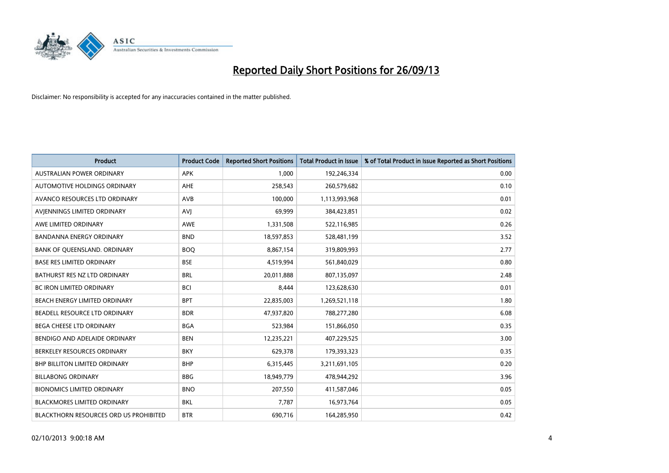

| <b>Product</b>                         | <b>Product Code</b> | <b>Reported Short Positions</b> | <b>Total Product in Issue</b> | % of Total Product in Issue Reported as Short Positions |
|----------------------------------------|---------------------|---------------------------------|-------------------------------|---------------------------------------------------------|
| <b>AUSTRALIAN POWER ORDINARY</b>       | <b>APK</b>          | 1.000                           | 192,246,334                   | 0.00                                                    |
| AUTOMOTIVE HOLDINGS ORDINARY           | AHE                 | 258,543                         | 260,579,682                   | 0.10                                                    |
| AVANCO RESOURCES LTD ORDINARY          | AVB                 | 100,000                         | 1,113,993,968                 | 0.01                                                    |
| AVJENNINGS LIMITED ORDINARY            | <b>AVJ</b>          | 69,999                          | 384,423,851                   | 0.02                                                    |
| AWE LIMITED ORDINARY                   | <b>AWE</b>          | 1,331,508                       | 522,116,985                   | 0.26                                                    |
| <b>BANDANNA ENERGY ORDINARY</b>        | <b>BND</b>          | 18,597,853                      | 528,481,199                   | 3.52                                                    |
| BANK OF QUEENSLAND. ORDINARY           | <b>BOQ</b>          | 8,867,154                       | 319,809,993                   | 2.77                                                    |
| <b>BASE RES LIMITED ORDINARY</b>       | <b>BSE</b>          | 4,519,994                       | 561,840,029                   | 0.80                                                    |
| BATHURST RES NZ LTD ORDINARY           | <b>BRL</b>          | 20,011,888                      | 807,135,097                   | 2.48                                                    |
| <b>BC IRON LIMITED ORDINARY</b>        | <b>BCI</b>          | 8,444                           | 123,628,630                   | 0.01                                                    |
| BEACH ENERGY LIMITED ORDINARY          | <b>BPT</b>          | 22,835,003                      | 1,269,521,118                 | 1.80                                                    |
| BEADELL RESOURCE LTD ORDINARY          | <b>BDR</b>          | 47,937,820                      | 788,277,280                   | 6.08                                                    |
| <b>BEGA CHEESE LTD ORDINARY</b>        | <b>BGA</b>          | 523,984                         | 151,866,050                   | 0.35                                                    |
| BENDIGO AND ADELAIDE ORDINARY          | <b>BEN</b>          | 12,235,221                      | 407,229,525                   | 3.00                                                    |
| BERKELEY RESOURCES ORDINARY            | <b>BKY</b>          | 629,378                         | 179,393,323                   | 0.35                                                    |
| <b>BHP BILLITON LIMITED ORDINARY</b>   | <b>BHP</b>          | 6,315,445                       | 3,211,691,105                 | 0.20                                                    |
| <b>BILLABONG ORDINARY</b>              | <b>BBG</b>          | 18,949,779                      | 478,944,292                   | 3.96                                                    |
| <b>BIONOMICS LIMITED ORDINARY</b>      | <b>BNO</b>          | 207,550                         | 411,587,046                   | 0.05                                                    |
| <b>BLACKMORES LIMITED ORDINARY</b>     | <b>BKL</b>          | 7,787                           | 16,973,764                    | 0.05                                                    |
| BLACKTHORN RESOURCES ORD US PROHIBITED | <b>BTR</b>          | 690,716                         | 164,285,950                   | 0.42                                                    |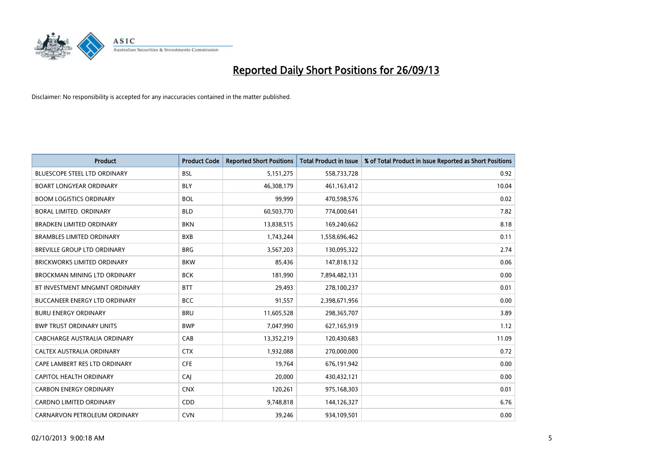

| <b>Product</b>                      | <b>Product Code</b> | <b>Reported Short Positions</b> | <b>Total Product in Issue</b> | % of Total Product in Issue Reported as Short Positions |
|-------------------------------------|---------------------|---------------------------------|-------------------------------|---------------------------------------------------------|
| BLUESCOPE STEEL LTD ORDINARY        | <b>BSL</b>          | 5, 151, 275                     | 558,733,728                   | 0.92                                                    |
| <b>BOART LONGYEAR ORDINARY</b>      | <b>BLY</b>          | 46,308,179                      | 461, 163, 412                 | 10.04                                                   |
| <b>BOOM LOGISTICS ORDINARY</b>      | <b>BOL</b>          | 99,999                          | 470,598,576                   | 0.02                                                    |
| BORAL LIMITED. ORDINARY             | <b>BLD</b>          | 60,503,770                      | 774,000,641                   | 7.82                                                    |
| <b>BRADKEN LIMITED ORDINARY</b>     | <b>BKN</b>          | 13,838,515                      | 169,240,662                   | 8.18                                                    |
| <b>BRAMBLES LIMITED ORDINARY</b>    | <b>BXB</b>          | 1,743,244                       | 1,558,696,462                 | 0.11                                                    |
| BREVILLE GROUP LTD ORDINARY         | <b>BRG</b>          | 3,567,203                       | 130,095,322                   | 2.74                                                    |
| <b>BRICKWORKS LIMITED ORDINARY</b>  | <b>BKW</b>          | 85,436                          | 147,818,132                   | 0.06                                                    |
| <b>BROCKMAN MINING LTD ORDINARY</b> | <b>BCK</b>          | 181,990                         | 7,894,482,131                 | 0.00                                                    |
| BT INVESTMENT MNGMNT ORDINARY       | <b>BTT</b>          | 29,493                          | 278,100,237                   | 0.01                                                    |
| BUCCANEER ENERGY LTD ORDINARY       | <b>BCC</b>          | 91,557                          | 2,398,671,956                 | 0.00                                                    |
| <b>BURU ENERGY ORDINARY</b>         | <b>BRU</b>          | 11,605,528                      | 298,365,707                   | 3.89                                                    |
| <b>BWP TRUST ORDINARY UNITS</b>     | <b>BWP</b>          | 7,047,990                       | 627,165,919                   | 1.12                                                    |
| <b>CABCHARGE AUSTRALIA ORDINARY</b> | CAB                 | 13,352,219                      | 120,430,683                   | 11.09                                                   |
| CALTEX AUSTRALIA ORDINARY           | <b>CTX</b>          | 1,932,088                       | 270,000,000                   | 0.72                                                    |
| CAPE LAMBERT RES LTD ORDINARY       | <b>CFE</b>          | 19,764                          | 676,191,942                   | 0.00                                                    |
| CAPITOL HEALTH ORDINARY             | CAI                 | 20,000                          | 430,432,121                   | 0.00                                                    |
| <b>CARBON ENERGY ORDINARY</b>       | <b>CNX</b>          | 120,261                         | 975,168,303                   | 0.01                                                    |
| <b>CARDNO LIMITED ORDINARY</b>      | CDD                 | 9,748,818                       | 144,126,327                   | 6.76                                                    |
| CARNARVON PETROLEUM ORDINARY        | <b>CVN</b>          | 39,246                          | 934,109,501                   | 0.00                                                    |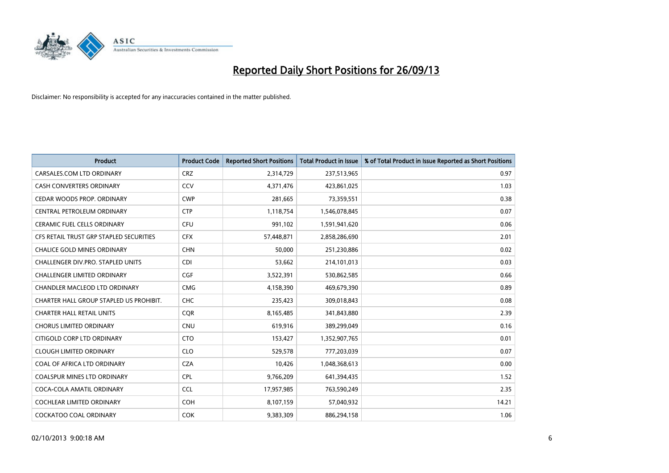

| <b>Product</b>                          | <b>Product Code</b> | <b>Reported Short Positions</b> | <b>Total Product in Issue</b> | % of Total Product in Issue Reported as Short Positions |
|-----------------------------------------|---------------------|---------------------------------|-------------------------------|---------------------------------------------------------|
| CARSALES.COM LTD ORDINARY               | <b>CRZ</b>          | 2,314,729                       | 237,513,965                   | 0.97                                                    |
| <b>CASH CONVERTERS ORDINARY</b>         | CCV                 | 4,371,476                       | 423,861,025                   | 1.03                                                    |
| CEDAR WOODS PROP. ORDINARY              | <b>CWP</b>          | 281,665                         | 73,359,551                    | 0.38                                                    |
| CENTRAL PETROLEUM ORDINARY              | <b>CTP</b>          | 1,118,754                       | 1,546,078,845                 | 0.07                                                    |
| <b>CERAMIC FUEL CELLS ORDINARY</b>      | <b>CFU</b>          | 991,102                         | 1,591,941,620                 | 0.06                                                    |
| CFS RETAIL TRUST GRP STAPLED SECURITIES | <b>CFX</b>          | 57,448,871                      | 2,858,286,690                 | 2.01                                                    |
| <b>CHALICE GOLD MINES ORDINARY</b>      | <b>CHN</b>          | 50.000                          | 251,230,886                   | 0.02                                                    |
| CHALLENGER DIV.PRO. STAPLED UNITS       | <b>CDI</b>          | 53,662                          | 214,101,013                   | 0.03                                                    |
| <b>CHALLENGER LIMITED ORDINARY</b>      | <b>CGF</b>          | 3,522,391                       | 530,862,585                   | 0.66                                                    |
| CHANDLER MACLEOD LTD ORDINARY           | <b>CMG</b>          | 4,158,390                       | 469,679,390                   | 0.89                                                    |
| CHARTER HALL GROUP STAPLED US PROHIBIT. | <b>CHC</b>          | 235,423                         | 309,018,843                   | 0.08                                                    |
| <b>CHARTER HALL RETAIL UNITS</b>        | <b>CQR</b>          | 8,165,485                       | 341,843,880                   | 2.39                                                    |
| <b>CHORUS LIMITED ORDINARY</b>          | CNU                 | 619,916                         | 389,299,049                   | 0.16                                                    |
| CITIGOLD CORP LTD ORDINARY              | <b>CTO</b>          | 153,427                         | 1,352,907,765                 | 0.01                                                    |
| <b>CLOUGH LIMITED ORDINARY</b>          | <b>CLO</b>          | 529,578                         | 777,203,039                   | 0.07                                                    |
| COAL OF AFRICA LTD ORDINARY             | <b>CZA</b>          | 10,426                          | 1,048,368,613                 | 0.00                                                    |
| <b>COALSPUR MINES LTD ORDINARY</b>      | <b>CPL</b>          | 9,766,209                       | 641,394,435                   | 1.52                                                    |
| COCA-COLA AMATIL ORDINARY               | <b>CCL</b>          | 17,957,985                      | 763,590,249                   | 2.35                                                    |
| <b>COCHLEAR LIMITED ORDINARY</b>        | <b>COH</b>          | 8,107,159                       | 57,040,932                    | 14.21                                                   |
| <b>COCKATOO COAL ORDINARY</b>           | <b>COK</b>          | 9,383,309                       | 886,294,158                   | 1.06                                                    |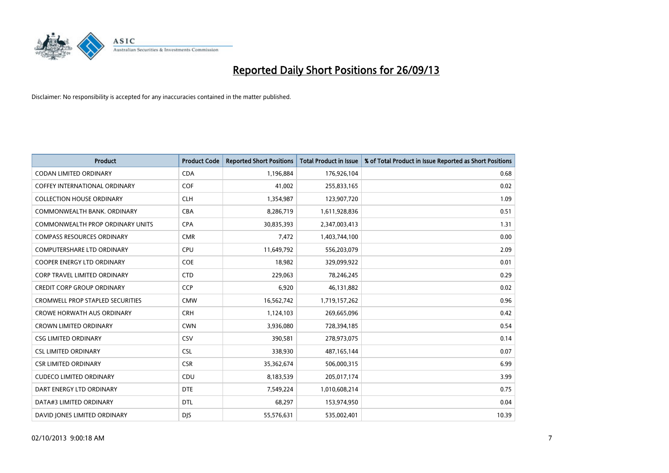

| <b>Product</b>                          | <b>Product Code</b> | <b>Reported Short Positions</b> | <b>Total Product in Issue</b> | % of Total Product in Issue Reported as Short Positions |
|-----------------------------------------|---------------------|---------------------------------|-------------------------------|---------------------------------------------------------|
| <b>CODAN LIMITED ORDINARY</b>           | <b>CDA</b>          | 1,196,884                       | 176,926,104                   | 0.68                                                    |
| COFFEY INTERNATIONAL ORDINARY           | <b>COF</b>          | 41,002                          | 255,833,165                   | 0.02                                                    |
| <b>COLLECTION HOUSE ORDINARY</b>        | <b>CLH</b>          | 1,354,987                       | 123,907,720                   | 1.09                                                    |
| COMMONWEALTH BANK, ORDINARY             | <b>CBA</b>          | 8,286,719                       | 1,611,928,836                 | 0.51                                                    |
| <b>COMMONWEALTH PROP ORDINARY UNITS</b> | <b>CPA</b>          | 30,835,393                      | 2,347,003,413                 | 1.31                                                    |
| <b>COMPASS RESOURCES ORDINARY</b>       | <b>CMR</b>          | 7,472                           | 1,403,744,100                 | 0.00                                                    |
| <b>COMPUTERSHARE LTD ORDINARY</b>       | <b>CPU</b>          | 11,649,792                      | 556,203,079                   | 2.09                                                    |
| <b>COOPER ENERGY LTD ORDINARY</b>       | <b>COE</b>          | 18,982                          | 329,099,922                   | 0.01                                                    |
| <b>CORP TRAVEL LIMITED ORDINARY</b>     | <b>CTD</b>          | 229,063                         | 78,246,245                    | 0.29                                                    |
| <b>CREDIT CORP GROUP ORDINARY</b>       | CCP                 | 6,920                           | 46,131,882                    | 0.02                                                    |
| <b>CROMWELL PROP STAPLED SECURITIES</b> | <b>CMW</b>          | 16,562,742                      | 1,719,157,262                 | 0.96                                                    |
| <b>CROWE HORWATH AUS ORDINARY</b>       | <b>CRH</b>          | 1,124,103                       | 269,665,096                   | 0.42                                                    |
| <b>CROWN LIMITED ORDINARY</b>           | <b>CWN</b>          | 3,936,080                       | 728,394,185                   | 0.54                                                    |
| <b>CSG LIMITED ORDINARY</b>             | CSV                 | 390,581                         | 278,973,075                   | 0.14                                                    |
| <b>CSL LIMITED ORDINARY</b>             | <b>CSL</b>          | 338,930                         | 487, 165, 144                 | 0.07                                                    |
| <b>CSR LIMITED ORDINARY</b>             | <b>CSR</b>          | 35,362,674                      | 506,000,315                   | 6.99                                                    |
| <b>CUDECO LIMITED ORDINARY</b>          | CDU                 | 8,183,539                       | 205,017,174                   | 3.99                                                    |
| DART ENERGY LTD ORDINARY                | <b>DTE</b>          | 7,549,224                       | 1,010,608,214                 | 0.75                                                    |
| DATA#3 LIMITED ORDINARY                 | <b>DTL</b>          | 68,297                          | 153,974,950                   | 0.04                                                    |
| DAVID JONES LIMITED ORDINARY            | <b>DJS</b>          | 55,576,631                      | 535,002,401                   | 10.39                                                   |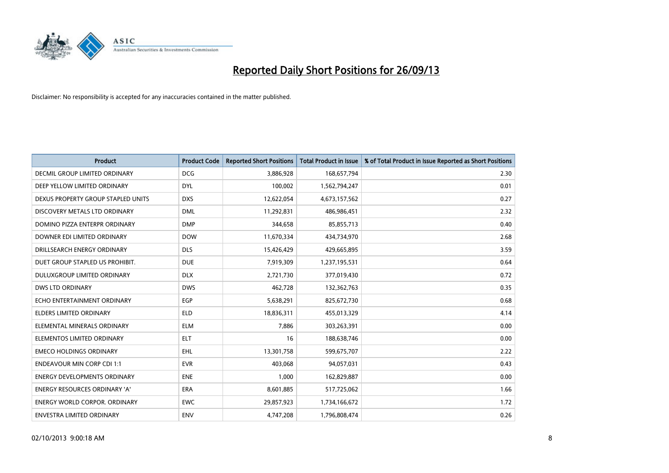

| Product                              | <b>Product Code</b> | <b>Reported Short Positions</b> | <b>Total Product in Issue</b> | % of Total Product in Issue Reported as Short Positions |
|--------------------------------------|---------------------|---------------------------------|-------------------------------|---------------------------------------------------------|
| DECMIL GROUP LIMITED ORDINARY        | <b>DCG</b>          | 3,886,928                       | 168,657,794                   | 2.30                                                    |
| DEEP YELLOW LIMITED ORDINARY         | <b>DYL</b>          | 100,002                         | 1,562,794,247                 | 0.01                                                    |
| DEXUS PROPERTY GROUP STAPLED UNITS   | <b>DXS</b>          | 12,622,054                      | 4,673,157,562                 | 0.27                                                    |
| DISCOVERY METALS LTD ORDINARY        | <b>DML</b>          | 11,292,831                      | 486,986,451                   | 2.32                                                    |
| DOMINO PIZZA ENTERPR ORDINARY        | <b>DMP</b>          | 344,658                         | 85,855,713                    | 0.40                                                    |
| DOWNER EDI LIMITED ORDINARY          | <b>DOW</b>          | 11,670,334                      | 434,734,970                   | 2.68                                                    |
| DRILLSEARCH ENERGY ORDINARY          | <b>DLS</b>          | 15,426,429                      | 429,665,895                   | 3.59                                                    |
| DUET GROUP STAPLED US PROHIBIT.      | <b>DUE</b>          | 7,919,309                       | 1,237,195,531                 | 0.64                                                    |
| DULUXGROUP LIMITED ORDINARY          | <b>DLX</b>          | 2,721,730                       | 377,019,430                   | 0.72                                                    |
| <b>DWS LTD ORDINARY</b>              | <b>DWS</b>          | 462,728                         | 132,362,763                   | 0.35                                                    |
| ECHO ENTERTAINMENT ORDINARY          | <b>EGP</b>          | 5,638,291                       | 825,672,730                   | 0.68                                                    |
| <b>ELDERS LIMITED ORDINARY</b>       | ELD                 | 18,836,311                      | 455,013,329                   | 4.14                                                    |
| ELEMENTAL MINERALS ORDINARY          | <b>ELM</b>          | 7,886                           | 303,263,391                   | 0.00                                                    |
| ELEMENTOS LIMITED ORDINARY           | <b>ELT</b>          | 16                              | 188,638,746                   | 0.00                                                    |
| <b>EMECO HOLDINGS ORDINARY</b>       | <b>EHL</b>          | 13,301,758                      | 599,675,707                   | 2.22                                                    |
| <b>ENDEAVOUR MIN CORP CDI 1:1</b>    | <b>EVR</b>          | 403,068                         | 94,057,031                    | 0.43                                                    |
| <b>ENERGY DEVELOPMENTS ORDINARY</b>  | <b>ENE</b>          | 1,000                           | 162,829,887                   | 0.00                                                    |
| ENERGY RESOURCES ORDINARY 'A'        | <b>ERA</b>          | 8,601,885                       | 517,725,062                   | 1.66                                                    |
| <b>ENERGY WORLD CORPOR, ORDINARY</b> | <b>EWC</b>          | 29,857,923                      | 1,734,166,672                 | 1.72                                                    |
| ENVESTRA LIMITED ORDINARY            | <b>ENV</b>          | 4,747,208                       | 1,796,808,474                 | 0.26                                                    |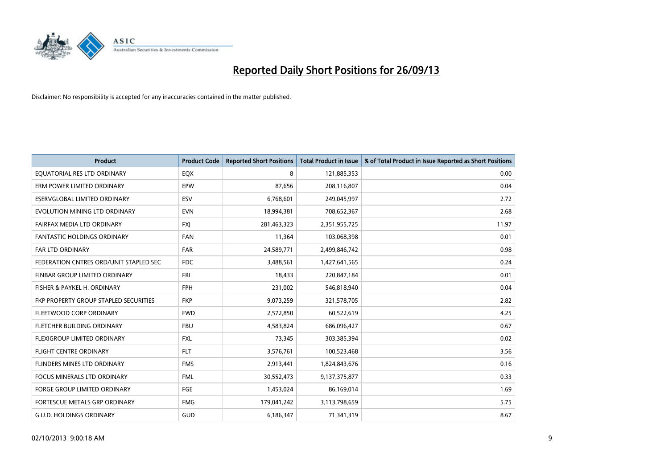

| <b>Product</b>                         | <b>Product Code</b> | <b>Reported Short Positions</b> | <b>Total Product in Issue</b> | % of Total Product in Issue Reported as Short Positions |
|----------------------------------------|---------------------|---------------------------------|-------------------------------|---------------------------------------------------------|
| EQUATORIAL RES LTD ORDINARY            | EQX                 | 8                               | 121,885,353                   | 0.00                                                    |
| ERM POWER LIMITED ORDINARY             | <b>EPW</b>          | 87,656                          | 208,116,807                   | 0.04                                                    |
| ESERVGLOBAL LIMITED ORDINARY           | ESV                 | 6,768,601                       | 249,045,997                   | 2.72                                                    |
| EVOLUTION MINING LTD ORDINARY          | <b>EVN</b>          | 18,994,381                      | 708,652,367                   | 2.68                                                    |
| <b>FAIRFAX MEDIA LTD ORDINARY</b>      | <b>FXI</b>          | 281,463,323                     | 2,351,955,725                 | 11.97                                                   |
| <b>FANTASTIC HOLDINGS ORDINARY</b>     | <b>FAN</b>          | 11,364                          | 103,068,398                   | 0.01                                                    |
| <b>FAR LTD ORDINARY</b>                | <b>FAR</b>          | 24,589,771                      | 2,499,846,742                 | 0.98                                                    |
| FEDERATION CNTRES ORD/UNIT STAPLED SEC | <b>FDC</b>          | 3,488,561                       | 1,427,641,565                 | 0.24                                                    |
| FINBAR GROUP LIMITED ORDINARY          | <b>FRI</b>          | 18,433                          | 220,847,184                   | 0.01                                                    |
| FISHER & PAYKEL H. ORDINARY            | <b>FPH</b>          | 231,002                         | 546,818,940                   | 0.04                                                    |
| FKP PROPERTY GROUP STAPLED SECURITIES  | <b>FKP</b>          | 9,073,259                       | 321,578,705                   | 2.82                                                    |
| FLEETWOOD CORP ORDINARY                | <b>FWD</b>          | 2,572,850                       | 60,522,619                    | 4.25                                                    |
| FLETCHER BUILDING ORDINARY             | <b>FBU</b>          | 4,583,824                       | 686,096,427                   | 0.67                                                    |
| FLEXIGROUP LIMITED ORDINARY            | <b>FXL</b>          | 73,345                          | 303,385,394                   | 0.02                                                    |
| <b>FLIGHT CENTRE ORDINARY</b>          | <b>FLT</b>          | 3,576,761                       | 100,523,468                   | 3.56                                                    |
| FLINDERS MINES LTD ORDINARY            | <b>FMS</b>          | 2,913,441                       | 1,824,843,676                 | 0.16                                                    |
| FOCUS MINERALS LTD ORDINARY            | <b>FML</b>          | 30,552,473                      | 9,137,375,877                 | 0.33                                                    |
| FORGE GROUP LIMITED ORDINARY           | FGE                 | 1,453,024                       | 86,169,014                    | 1.69                                                    |
| FORTESCUE METALS GRP ORDINARY          | <b>FMG</b>          | 179,041,242                     | 3,113,798,659                 | 5.75                                                    |
| <b>G.U.D. HOLDINGS ORDINARY</b>        | GUD                 | 6,186,347                       | 71,341,319                    | 8.67                                                    |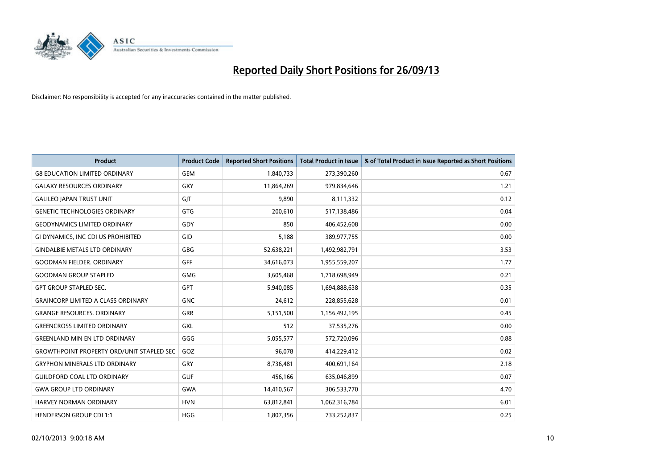

| <b>Product</b>                                   | <b>Product Code</b> | <b>Reported Short Positions</b> | <b>Total Product in Issue</b> | % of Total Product in Issue Reported as Short Positions |
|--------------------------------------------------|---------------------|---------------------------------|-------------------------------|---------------------------------------------------------|
| <b>G8 EDUCATION LIMITED ORDINARY</b>             | <b>GEM</b>          | 1,840,733                       | 273,390,260                   | 0.67                                                    |
| <b>GALAXY RESOURCES ORDINARY</b>                 | GXY                 | 11,864,269                      | 979,834,646                   | 1.21                                                    |
| <b>GALILEO JAPAN TRUST UNIT</b>                  | GJT                 | 9,890                           | 8,111,332                     | 0.12                                                    |
| <b>GENETIC TECHNOLOGIES ORDINARY</b>             | <b>GTG</b>          | 200,610                         | 517,138,486                   | 0.04                                                    |
| <b>GEODYNAMICS LIMITED ORDINARY</b>              | GDY                 | 850                             | 406,452,608                   | 0.00                                                    |
| GI DYNAMICS, INC CDI US PROHIBITED               | GID                 | 5,188                           | 389,977,755                   | 0.00                                                    |
| <b>GINDALBIE METALS LTD ORDINARY</b>             | <b>GBG</b>          | 52,638,221                      | 1,492,982,791                 | 3.53                                                    |
| <b>GOODMAN FIELDER, ORDINARY</b>                 | GFF                 | 34,616,073                      | 1,955,559,207                 | 1.77                                                    |
| <b>GOODMAN GROUP STAPLED</b>                     | <b>GMG</b>          | 3,605,468                       | 1,718,698,949                 | 0.21                                                    |
| <b>GPT GROUP STAPLED SEC.</b>                    | GPT                 | 5,940,085                       | 1,694,888,638                 | 0.35                                                    |
| <b>GRAINCORP LIMITED A CLASS ORDINARY</b>        | <b>GNC</b>          | 24,612                          | 228,855,628                   | 0.01                                                    |
| <b>GRANGE RESOURCES, ORDINARY</b>                | <b>GRR</b>          | 5,151,500                       | 1,156,492,195                 | 0.45                                                    |
| <b>GREENCROSS LIMITED ORDINARY</b>               | GXL                 | 512                             | 37,535,276                    | 0.00                                                    |
| <b>GREENLAND MIN EN LTD ORDINARY</b>             | GGG                 | 5,055,577                       | 572,720,096                   | 0.88                                                    |
| <b>GROWTHPOINT PROPERTY ORD/UNIT STAPLED SEC</b> | GOZ                 | 96,078                          | 414,229,412                   | 0.02                                                    |
| <b>GRYPHON MINERALS LTD ORDINARY</b>             | GRY                 | 8,736,481                       | 400,691,164                   | 2.18                                                    |
| <b>GUILDFORD COAL LTD ORDINARY</b>               | <b>GUF</b>          | 456,166                         | 635,046,899                   | 0.07                                                    |
| <b>GWA GROUP LTD ORDINARY</b>                    | <b>GWA</b>          | 14,410,567                      | 306,533,770                   | 4.70                                                    |
| HARVEY NORMAN ORDINARY                           | <b>HVN</b>          | 63,812,841                      | 1,062,316,784                 | 6.01                                                    |
| <b>HENDERSON GROUP CDI 1:1</b>                   | <b>HGG</b>          | 1,807,356                       | 733,252,837                   | 0.25                                                    |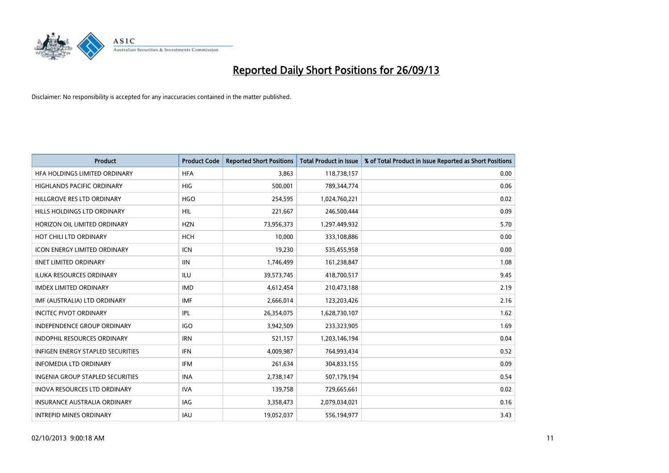

| <b>Product</b>                           | <b>Product Code</b> | <b>Reported Short Positions</b> | <b>Total Product in Issue</b> | % of Total Product in Issue Reported as Short Positions |
|------------------------------------------|---------------------|---------------------------------|-------------------------------|---------------------------------------------------------|
| HFA HOLDINGS LIMITED ORDINARY            | <b>HFA</b>          | 3,863                           | 118,738,157                   | 0.00                                                    |
| HIGHLANDS PACIFIC ORDINARY               | HIG                 | 500,001                         | 789,344,774                   | 0.06                                                    |
| HILLGROVE RES LTD ORDINARY               | <b>HGO</b>          | 254,595                         | 1,024,760,221                 | 0.02                                                    |
| HILLS HOLDINGS LTD ORDINARY              | HIL                 | 221,667                         | 246,500,444                   | 0.09                                                    |
| HORIZON OIL LIMITED ORDINARY             | <b>HZN</b>          | 73,956,373                      | 1,297,449,932                 | 5.70                                                    |
| HOT CHILI LTD ORDINARY                   | <b>HCH</b>          | 10,000                          | 333,108,886                   | 0.00                                                    |
| <b>ICON ENERGY LIMITED ORDINARY</b>      | ICN                 | 19,230                          | 535,455,958                   | 0.00                                                    |
| <b>IINET LIMITED ORDINARY</b>            | <b>IIN</b>          | 1,746,499                       | 161,238,847                   | 1.08                                                    |
| <b>ILUKA RESOURCES ORDINARY</b>          | ILU                 | 39,573,745                      | 418,700,517                   | 9.45                                                    |
| <b>IMDEX LIMITED ORDINARY</b>            | <b>IMD</b>          | 4,612,454                       | 210,473,188                   | 2.19                                                    |
| IMF (AUSTRALIA) LTD ORDINARY             | <b>IMF</b>          | 2,666,014                       | 123,203,426                   | 2.16                                                    |
| <b>INCITEC PIVOT ORDINARY</b>            | IPL                 | 26,354,075                      | 1,628,730,107                 | 1.62                                                    |
| INDEPENDENCE GROUP ORDINARY              | <b>IGO</b>          | 3,942,509                       | 233,323,905                   | 1.69                                                    |
| <b>INDOPHIL RESOURCES ORDINARY</b>       | <b>IRN</b>          | 521,157                         | 1,203,146,194                 | 0.04                                                    |
| <b>INFIGEN ENERGY STAPLED SECURITIES</b> | IFN                 | 4,009,987                       | 764,993,434                   | 0.52                                                    |
| <b>INFOMEDIA LTD ORDINARY</b>            | IFM                 | 261,634                         | 304,833,155                   | 0.09                                                    |
| INGENIA GROUP STAPLED SECURITIES         | <b>INA</b>          | 2,738,147                       | 507,179,194                   | 0.54                                                    |
| <b>INOVA RESOURCES LTD ORDINARY</b>      | <b>IVA</b>          | 139,758                         | 729,665,661                   | 0.02                                                    |
| <b>INSURANCE AUSTRALIA ORDINARY</b>      | IAG                 | 3,358,473                       | 2,079,034,021                 | 0.16                                                    |
| <b>INTREPID MINES ORDINARY</b>           | IAU                 | 19,052,037                      | 556,194,977                   | 3.43                                                    |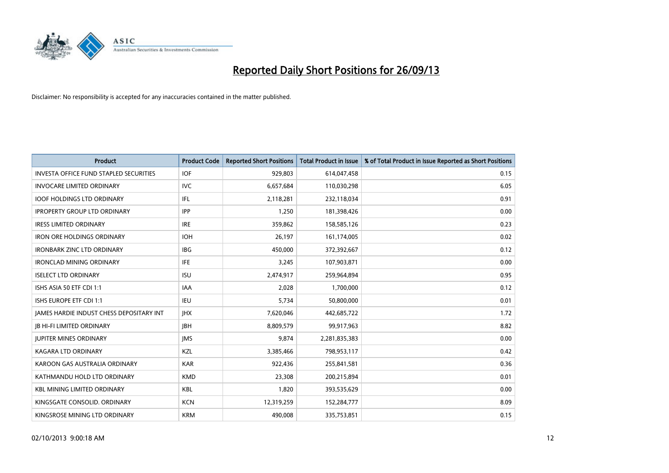

| <b>Product</b>                                | <b>Product Code</b> | <b>Reported Short Positions</b> | <b>Total Product in Issue</b> | % of Total Product in Issue Reported as Short Positions |
|-----------------------------------------------|---------------------|---------------------------------|-------------------------------|---------------------------------------------------------|
| <b>INVESTA OFFICE FUND STAPLED SECURITIES</b> | <b>IOF</b>          | 929,803                         | 614,047,458                   | 0.15                                                    |
| <b>INVOCARE LIMITED ORDINARY</b>              | <b>IVC</b>          | 6,657,684                       | 110,030,298                   | 6.05                                                    |
| <b>IOOF HOLDINGS LTD ORDINARY</b>             | IFL                 | 2,118,281                       | 232,118,034                   | 0.91                                                    |
| <b>IPROPERTY GROUP LTD ORDINARY</b>           | <b>IPP</b>          | 1,250                           | 181,398,426                   | 0.00                                                    |
| <b>IRESS LIMITED ORDINARY</b>                 | <b>IRE</b>          | 359,862                         | 158,585,126                   | 0.23                                                    |
| <b>IRON ORE HOLDINGS ORDINARY</b>             | <b>IOH</b>          | 26,197                          | 161,174,005                   | 0.02                                                    |
| <b>IRONBARK ZINC LTD ORDINARY</b>             | <b>IBG</b>          | 450,000                         | 372,392,667                   | 0.12                                                    |
| <b>IRONCLAD MINING ORDINARY</b>               | IFE.                | 3,245                           | 107,903,871                   | 0.00                                                    |
| <b>ISELECT LTD ORDINARY</b>                   | <b>ISU</b>          | 2,474,917                       | 259,964,894                   | 0.95                                                    |
| ISHS ASIA 50 ETF CDI 1:1                      | IAA                 | 2,028                           | 1,700,000                     | 0.12                                                    |
| ISHS EUROPE ETF CDI 1:1                       | IEU                 | 5,734                           | 50,800,000                    | 0.01                                                    |
| JAMES HARDIE INDUST CHESS DEPOSITARY INT      | <b>IHX</b>          | 7,620,046                       | 442,685,722                   | 1.72                                                    |
| <b>JB HI-FI LIMITED ORDINARY</b>              | <b>JBH</b>          | 8,809,579                       | 99,917,963                    | 8.82                                                    |
| <b>JUPITER MINES ORDINARY</b>                 | <b>IMS</b>          | 9,874                           | 2,281,835,383                 | 0.00                                                    |
| <b>KAGARA LTD ORDINARY</b>                    | KZL                 | 3,385,466                       | 798,953,117                   | 0.42                                                    |
| KAROON GAS AUSTRALIA ORDINARY                 | <b>KAR</b>          | 922,436                         | 255,841,581                   | 0.36                                                    |
| KATHMANDU HOLD LTD ORDINARY                   | <b>KMD</b>          | 23,308                          | 200,215,894                   | 0.01                                                    |
| <b>KBL MINING LIMITED ORDINARY</b>            | <b>KBL</b>          | 1,820                           | 393,535,629                   | 0.00                                                    |
| KINGSGATE CONSOLID. ORDINARY                  | <b>KCN</b>          | 12,319,259                      | 152,284,777                   | 8.09                                                    |
| KINGSROSE MINING LTD ORDINARY                 | <b>KRM</b>          | 490,008                         | 335,753,851                   | 0.15                                                    |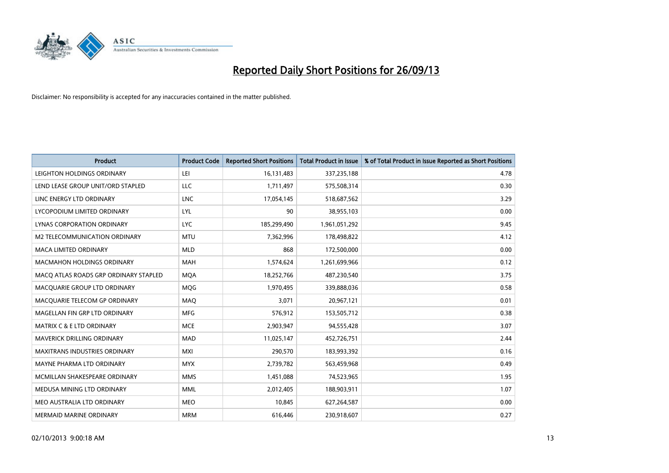

| <b>Product</b>                        | <b>Product Code</b> | <b>Reported Short Positions</b> | <b>Total Product in Issue</b> | % of Total Product in Issue Reported as Short Positions |
|---------------------------------------|---------------------|---------------------------------|-------------------------------|---------------------------------------------------------|
| LEIGHTON HOLDINGS ORDINARY            | LEI                 | 16,131,483                      | 337,235,188                   | 4.78                                                    |
| LEND LEASE GROUP UNIT/ORD STAPLED     | LLC                 | 1,711,497                       | 575,508,314                   | 0.30                                                    |
| LINC ENERGY LTD ORDINARY              | <b>LNC</b>          | 17,054,145                      | 518,687,562                   | 3.29                                                    |
| LYCOPODIUM LIMITED ORDINARY           | <b>LYL</b>          | 90                              | 38,955,103                    | 0.00                                                    |
| <b>LYNAS CORPORATION ORDINARY</b>     | <b>LYC</b>          | 185,299,490                     | 1,961,051,292                 | 9.45                                                    |
| <b>M2 TELECOMMUNICATION ORDINARY</b>  | <b>MTU</b>          | 7,362,996                       | 178,498,822                   | 4.12                                                    |
| MACA LIMITED ORDINARY                 | <b>MLD</b>          | 868                             | 172,500,000                   | 0.00                                                    |
| MACMAHON HOLDINGS ORDINARY            | MAH                 | 1,574,624                       | 1,261,699,966                 | 0.12                                                    |
| MACO ATLAS ROADS GRP ORDINARY STAPLED | <b>MOA</b>          | 18,252,766                      | 487,230,540                   | 3.75                                                    |
| MACQUARIE GROUP LTD ORDINARY          | <b>MQG</b>          | 1,970,495                       | 339,888,036                   | 0.58                                                    |
| MACQUARIE TELECOM GP ORDINARY         | MAQ                 | 3,071                           | 20,967,121                    | 0.01                                                    |
| MAGELLAN FIN GRP LTD ORDINARY         | <b>MFG</b>          | 576,912                         | 153,505,712                   | 0.38                                                    |
| <b>MATRIX C &amp; E LTD ORDINARY</b>  | <b>MCE</b>          | 2,903,947                       | 94,555,428                    | 3.07                                                    |
| MAVERICK DRILLING ORDINARY            | <b>MAD</b>          | 11,025,147                      | 452,726,751                   | 2.44                                                    |
| <b>MAXITRANS INDUSTRIES ORDINARY</b>  | <b>MXI</b>          | 290,570                         | 183,993,392                   | 0.16                                                    |
| MAYNE PHARMA LTD ORDINARY             | <b>MYX</b>          | 2,739,782                       | 563,459,968                   | 0.49                                                    |
| MCMILLAN SHAKESPEARE ORDINARY         | <b>MMS</b>          | 1,451,088                       | 74,523,965                    | 1.95                                                    |
| MEDUSA MINING LTD ORDINARY            | <b>MML</b>          | 2,012,405                       | 188,903,911                   | 1.07                                                    |
| MEO AUSTRALIA LTD ORDINARY            | <b>MEO</b>          | 10,845                          | 627,264,587                   | 0.00                                                    |
| <b>MERMAID MARINE ORDINARY</b>        | <b>MRM</b>          | 616,446                         | 230,918,607                   | 0.27                                                    |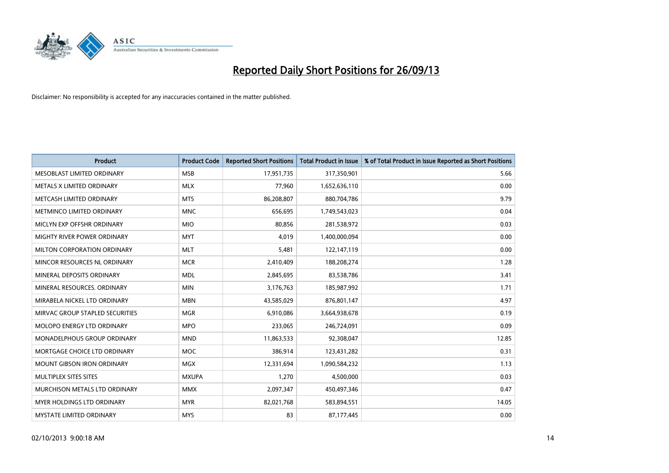

| <b>Product</b>                     | <b>Product Code</b> | <b>Reported Short Positions</b> | <b>Total Product in Issue</b> | % of Total Product in Issue Reported as Short Positions |
|------------------------------------|---------------------|---------------------------------|-------------------------------|---------------------------------------------------------|
| MESOBLAST LIMITED ORDINARY         | <b>MSB</b>          | 17,951,735                      | 317,350,901                   | 5.66                                                    |
| METALS X LIMITED ORDINARY          | <b>MLX</b>          | 77,960                          | 1,652,636,110                 | 0.00                                                    |
| METCASH LIMITED ORDINARY           | <b>MTS</b>          | 86,208,807                      | 880,704,786                   | 9.79                                                    |
| METMINCO LIMITED ORDINARY          | <b>MNC</b>          | 656,695                         | 1,749,543,023                 | 0.04                                                    |
| MICLYN EXP OFFSHR ORDINARY         | <b>MIO</b>          | 80,856                          | 281,538,972                   | 0.03                                                    |
| MIGHTY RIVER POWER ORDINARY        | <b>MYT</b>          | 4,019                           | 1,400,000,094                 | 0.00                                                    |
| MILTON CORPORATION ORDINARY        | <b>MLT</b>          | 5,481                           | 122,147,119                   | 0.00                                                    |
| MINCOR RESOURCES NL ORDINARY       | <b>MCR</b>          | 2,410,409                       | 188,208,274                   | 1.28                                                    |
| MINERAL DEPOSITS ORDINARY          | <b>MDL</b>          | 2,845,695                       | 83,538,786                    | 3.41                                                    |
| MINERAL RESOURCES, ORDINARY        | <b>MIN</b>          | 3,176,763                       | 185,987,992                   | 1.71                                                    |
| MIRABELA NICKEL LTD ORDINARY       | <b>MBN</b>          | 43,585,029                      | 876,801,147                   | 4.97                                                    |
| MIRVAC GROUP STAPLED SECURITIES    | <b>MGR</b>          | 6,910,086                       | 3,664,938,678                 | 0.19                                                    |
| <b>MOLOPO ENERGY LTD ORDINARY</b>  | <b>MPO</b>          | 233,065                         | 246,724,091                   | 0.09                                                    |
| <b>MONADELPHOUS GROUP ORDINARY</b> | <b>MND</b>          | 11,863,533                      | 92,308,047                    | 12.85                                                   |
| MORTGAGE CHOICE LTD ORDINARY       | MOC                 | 386,914                         | 123,431,282                   | 0.31                                                    |
| <b>MOUNT GIBSON IRON ORDINARY</b>  | <b>MGX</b>          | 12,331,694                      | 1,090,584,232                 | 1.13                                                    |
| MULTIPLEX SITES SITES              | <b>MXUPA</b>        | 1,270                           | 4,500,000                     | 0.03                                                    |
| MURCHISON METALS LTD ORDINARY      | <b>MMX</b>          | 2,097,347                       | 450,497,346                   | 0.47                                                    |
| <b>MYER HOLDINGS LTD ORDINARY</b>  | <b>MYR</b>          | 82,021,768                      | 583,894,551                   | 14.05                                                   |
| <b>MYSTATE LIMITED ORDINARY</b>    | <b>MYS</b>          | 83                              | 87,177,445                    | 0.00                                                    |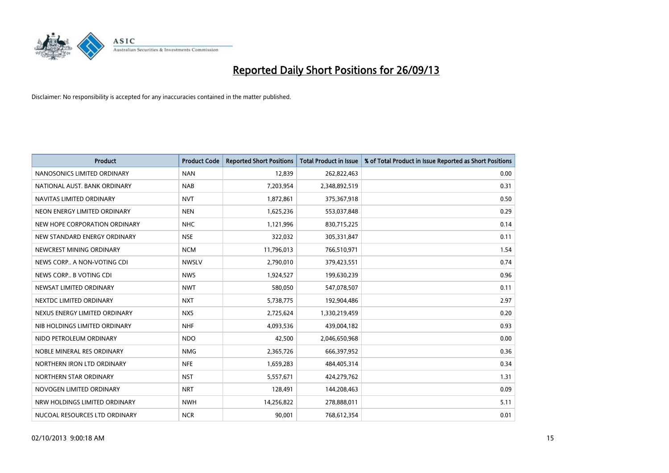

| <b>Product</b>                | <b>Product Code</b> | <b>Reported Short Positions</b> | <b>Total Product in Issue</b> | % of Total Product in Issue Reported as Short Positions |
|-------------------------------|---------------------|---------------------------------|-------------------------------|---------------------------------------------------------|
| NANOSONICS LIMITED ORDINARY   | <b>NAN</b>          | 12,839                          | 262,822,463                   | 0.00                                                    |
| NATIONAL AUST. BANK ORDINARY  | <b>NAB</b>          | 7,203,954                       | 2,348,892,519                 | 0.31                                                    |
| NAVITAS LIMITED ORDINARY      | <b>NVT</b>          | 1,872,861                       | 375,367,918                   | 0.50                                                    |
| NEON ENERGY LIMITED ORDINARY  | <b>NEN</b>          | 1,625,236                       | 553,037,848                   | 0.29                                                    |
| NEW HOPE CORPORATION ORDINARY | <b>NHC</b>          | 1,121,996                       | 830,715,225                   | 0.14                                                    |
| NEW STANDARD ENERGY ORDINARY  | <b>NSE</b>          | 322,032                         | 305,331,847                   | 0.11                                                    |
| NEWCREST MINING ORDINARY      | <b>NCM</b>          | 11,796,013                      | 766,510,971                   | 1.54                                                    |
| NEWS CORP A NON-VOTING CDI    | <b>NWSLV</b>        | 2,790,010                       | 379,423,551                   | 0.74                                                    |
| NEWS CORP B VOTING CDI        | <b>NWS</b>          | 1,924,527                       | 199,630,239                   | 0.96                                                    |
| NEWSAT LIMITED ORDINARY       | <b>NWT</b>          | 580,050                         | 547,078,507                   | 0.11                                                    |
| NEXTDC LIMITED ORDINARY       | <b>NXT</b>          | 5,738,775                       | 192,904,486                   | 2.97                                                    |
| NEXUS ENERGY LIMITED ORDINARY | <b>NXS</b>          | 2,725,624                       | 1,330,219,459                 | 0.20                                                    |
| NIB HOLDINGS LIMITED ORDINARY | <b>NHF</b>          | 4,093,536                       | 439,004,182                   | 0.93                                                    |
| NIDO PETROLEUM ORDINARY       | <b>NDO</b>          | 42,500                          | 2,046,650,968                 | 0.00                                                    |
| NOBLE MINERAL RES ORDINARY    | <b>NMG</b>          | 2,365,726                       | 666,397,952                   | 0.36                                                    |
| NORTHERN IRON LTD ORDINARY    | <b>NFE</b>          | 1,659,283                       | 484,405,314                   | 0.34                                                    |
| NORTHERN STAR ORDINARY        | NST                 | 5,557,671                       | 424,279,762                   | 1.31                                                    |
| NOVOGEN LIMITED ORDINARY      | <b>NRT</b>          | 128,491                         | 144,208,463                   | 0.09                                                    |
| NRW HOLDINGS LIMITED ORDINARY | <b>NWH</b>          | 14,256,822                      | 278,888,011                   | 5.11                                                    |
| NUCOAL RESOURCES LTD ORDINARY | <b>NCR</b>          | 90,001                          | 768,612,354                   | 0.01                                                    |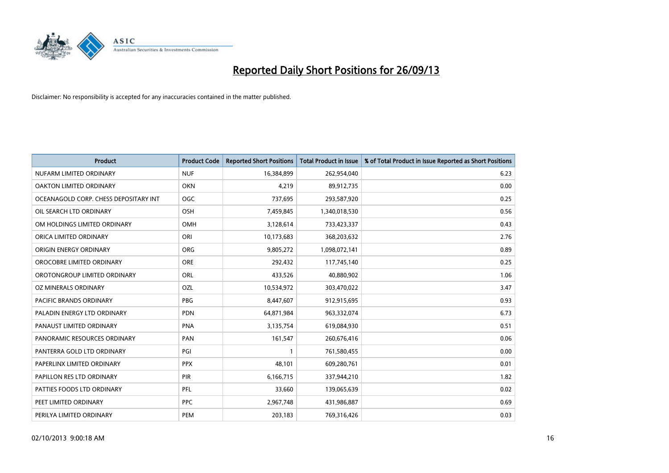

| <b>Product</b>                        | <b>Product Code</b> | <b>Reported Short Positions</b> | <b>Total Product in Issue</b> | % of Total Product in Issue Reported as Short Positions |
|---------------------------------------|---------------------|---------------------------------|-------------------------------|---------------------------------------------------------|
| NUFARM LIMITED ORDINARY               | <b>NUF</b>          | 16,384,899                      | 262,954,040                   | 6.23                                                    |
| OAKTON LIMITED ORDINARY               | <b>OKN</b>          | 4,219                           | 89,912,735                    | 0.00                                                    |
| OCEANAGOLD CORP. CHESS DEPOSITARY INT | <b>OGC</b>          | 737,695                         | 293,587,920                   | 0.25                                                    |
| OIL SEARCH LTD ORDINARY               | OSH                 | 7,459,845                       | 1,340,018,530                 | 0.56                                                    |
| OM HOLDINGS LIMITED ORDINARY          | OMH                 | 3,128,614                       | 733,423,337                   | 0.43                                                    |
| ORICA LIMITED ORDINARY                | ORI                 | 10,173,683                      | 368,203,632                   | 2.76                                                    |
| ORIGIN ENERGY ORDINARY                | <b>ORG</b>          | 9,805,272                       | 1,098,072,141                 | 0.89                                                    |
| OROCOBRE LIMITED ORDINARY             | <b>ORE</b>          | 292,432                         | 117,745,140                   | 0.25                                                    |
| OROTONGROUP LIMITED ORDINARY          | ORL                 | 433,526                         | 40,880,902                    | 1.06                                                    |
| <b>OZ MINERALS ORDINARY</b>           | OZL                 | 10,534,972                      | 303,470,022                   | 3.47                                                    |
| PACIFIC BRANDS ORDINARY               | <b>PBG</b>          | 8,447,607                       | 912,915,695                   | 0.93                                                    |
| PALADIN ENERGY LTD ORDINARY           | <b>PDN</b>          | 64,871,984                      | 963,332,074                   | 6.73                                                    |
| PANAUST LIMITED ORDINARY              | <b>PNA</b>          | 3,135,754                       | 619,084,930                   | 0.51                                                    |
| PANORAMIC RESOURCES ORDINARY          | PAN                 | 161,547                         | 260,676,416                   | 0.06                                                    |
| PANTERRA GOLD LTD ORDINARY            | PGI                 | $\mathbf{1}$                    | 761,580,455                   | 0.00                                                    |
| PAPERLINX LIMITED ORDINARY            | <b>PPX</b>          | 48,101                          | 609,280,761                   | 0.01                                                    |
| PAPILLON RES LTD ORDINARY             | PIR                 | 6,166,715                       | 337,944,210                   | 1.82                                                    |
| PATTIES FOODS LTD ORDINARY            | <b>PFL</b>          | 33,660                          | 139,065,639                   | 0.02                                                    |
| PEET LIMITED ORDINARY                 | <b>PPC</b>          | 2,967,748                       | 431,986,887                   | 0.69                                                    |
| PERILYA LIMITED ORDINARY              | <b>PEM</b>          | 203,183                         | 769,316,426                   | 0.03                                                    |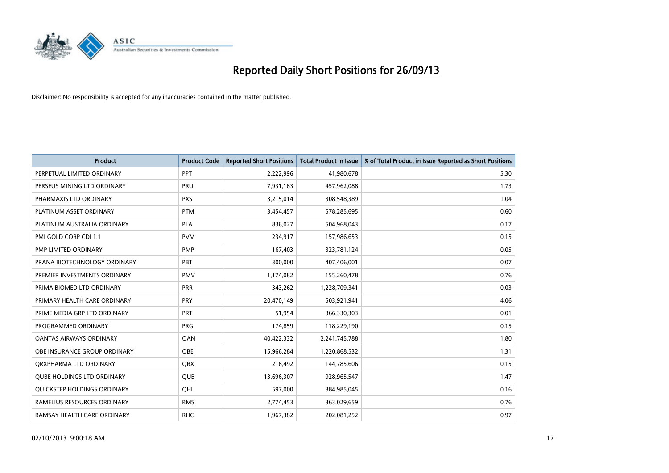

| <b>Product</b>                     | <b>Product Code</b> | <b>Reported Short Positions</b> | <b>Total Product in Issue</b> | % of Total Product in Issue Reported as Short Positions |
|------------------------------------|---------------------|---------------------------------|-------------------------------|---------------------------------------------------------|
| PERPETUAL LIMITED ORDINARY         | <b>PPT</b>          | 2,222,996                       | 41,980,678                    | 5.30                                                    |
| PERSEUS MINING LTD ORDINARY        | <b>PRU</b>          | 7,931,163                       | 457,962,088                   | 1.73                                                    |
| PHARMAXIS LTD ORDINARY             | <b>PXS</b>          | 3,215,014                       | 308,548,389                   | 1.04                                                    |
| PLATINUM ASSET ORDINARY            | <b>PTM</b>          | 3,454,457                       | 578,285,695                   | 0.60                                                    |
| PLATINUM AUSTRALIA ORDINARY        | <b>PLA</b>          | 836,027                         | 504,968,043                   | 0.17                                                    |
| PMI GOLD CORP CDI 1:1              | <b>PVM</b>          | 234,917                         | 157,986,653                   | 0.15                                                    |
| PMP LIMITED ORDINARY               | <b>PMP</b>          | 167,403                         | 323,781,124                   | 0.05                                                    |
| PRANA BIOTECHNOLOGY ORDINARY       | PBT                 | 300,000                         | 407,406,001                   | 0.07                                                    |
| PREMIER INVESTMENTS ORDINARY       | <b>PMV</b>          | 1,174,082                       | 155,260,478                   | 0.76                                                    |
| PRIMA BIOMED LTD ORDINARY          | <b>PRR</b>          | 343,262                         | 1,228,709,341                 | 0.03                                                    |
| PRIMARY HEALTH CARE ORDINARY       | <b>PRY</b>          | 20,470,149                      | 503,921,941                   | 4.06                                                    |
| PRIME MEDIA GRP LTD ORDINARY       | <b>PRT</b>          | 51,954                          | 366,330,303                   | 0.01                                                    |
| PROGRAMMED ORDINARY                | <b>PRG</b>          | 174,859                         | 118,229,190                   | 0.15                                                    |
| <b>QANTAS AIRWAYS ORDINARY</b>     | QAN                 | 40,422,332                      | 2,241,745,788                 | 1.80                                                    |
| OBE INSURANCE GROUP ORDINARY       | <b>OBE</b>          | 15,966,284                      | 1,220,868,532                 | 1.31                                                    |
| ORXPHARMA LTD ORDINARY             | QRX                 | 216,492                         | 144,785,606                   | 0.15                                                    |
| <b>QUBE HOLDINGS LTD ORDINARY</b>  | QUB                 | 13,696,307                      | 928,965,547                   | 1.47                                                    |
| <b>OUICKSTEP HOLDINGS ORDINARY</b> | OHL                 | 597,000                         | 384,985,045                   | 0.16                                                    |
| RAMELIUS RESOURCES ORDINARY        | <b>RMS</b>          | 2,774,453                       | 363,029,659                   | 0.76                                                    |
| RAMSAY HEALTH CARE ORDINARY        | <b>RHC</b>          | 1,967,382                       | 202,081,252                   | 0.97                                                    |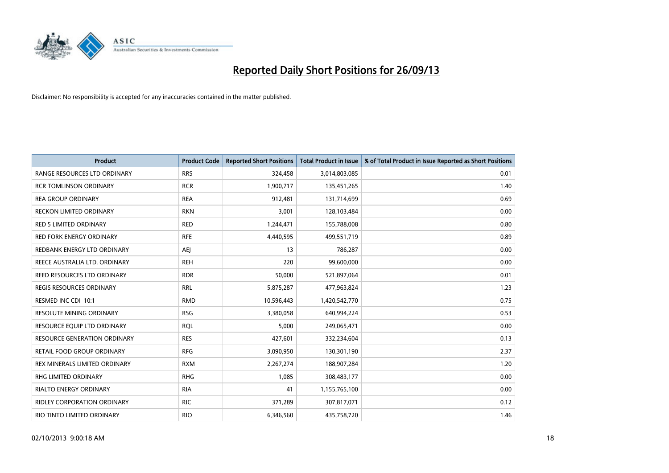

| <b>Product</b>                      | <b>Product Code</b> | <b>Reported Short Positions</b> | <b>Total Product in Issue</b> | % of Total Product in Issue Reported as Short Positions |
|-------------------------------------|---------------------|---------------------------------|-------------------------------|---------------------------------------------------------|
| RANGE RESOURCES LTD ORDINARY        | <b>RRS</b>          | 324,458                         | 3,014,803,085                 | 0.01                                                    |
| <b>RCR TOMLINSON ORDINARY</b>       | <b>RCR</b>          | 1,900,717                       | 135,451,265                   | 1.40                                                    |
| <b>REA GROUP ORDINARY</b>           | <b>REA</b>          | 912,481                         | 131,714,699                   | 0.69                                                    |
| RECKON LIMITED ORDINARY             | <b>RKN</b>          | 3,001                           | 128,103,484                   | 0.00                                                    |
| <b>RED 5 LIMITED ORDINARY</b>       | <b>RED</b>          | 1,244,471                       | 155,788,008                   | 0.80                                                    |
| <b>RED FORK ENERGY ORDINARY</b>     | <b>RFE</b>          | 4,440,595                       | 499,551,719                   | 0.89                                                    |
| REDBANK ENERGY LTD ORDINARY         | AEJ                 | 13                              | 786,287                       | 0.00                                                    |
| REECE AUSTRALIA LTD. ORDINARY       | <b>REH</b>          | 220                             | 99,600,000                    | 0.00                                                    |
| REED RESOURCES LTD ORDINARY         | <b>RDR</b>          | 50,000                          | 521,897,064                   | 0.01                                                    |
| <b>REGIS RESOURCES ORDINARY</b>     | <b>RRL</b>          | 5,875,287                       | 477,963,824                   | 1.23                                                    |
| RESMED INC CDI 10:1                 | <b>RMD</b>          | 10,596,443                      | 1,420,542,770                 | 0.75                                                    |
| <b>RESOLUTE MINING ORDINARY</b>     | <b>RSG</b>          | 3,380,058                       | 640,994,224                   | 0.53                                                    |
| RESOURCE EQUIP LTD ORDINARY         | <b>RQL</b>          | 5,000                           | 249,065,471                   | 0.00                                                    |
| <b>RESOURCE GENERATION ORDINARY</b> | <b>RES</b>          | 427,601                         | 332,234,604                   | 0.13                                                    |
| <b>RETAIL FOOD GROUP ORDINARY</b>   | <b>RFG</b>          | 3,090,950                       | 130,301,190                   | 2.37                                                    |
| REX MINERALS LIMITED ORDINARY       | <b>RXM</b>          | 2,267,274                       | 188,907,284                   | 1.20                                                    |
| RHG LIMITED ORDINARY                | <b>RHG</b>          | 1,085                           | 308,483,177                   | 0.00                                                    |
| <b>RIALTO ENERGY ORDINARY</b>       | <b>RIA</b>          | 41                              | 1,155,765,100                 | 0.00                                                    |
| <b>RIDLEY CORPORATION ORDINARY</b>  | <b>RIC</b>          | 371,289                         | 307,817,071                   | 0.12                                                    |
| RIO TINTO LIMITED ORDINARY          | <b>RIO</b>          | 6,346,560                       | 435,758,720                   | 1.46                                                    |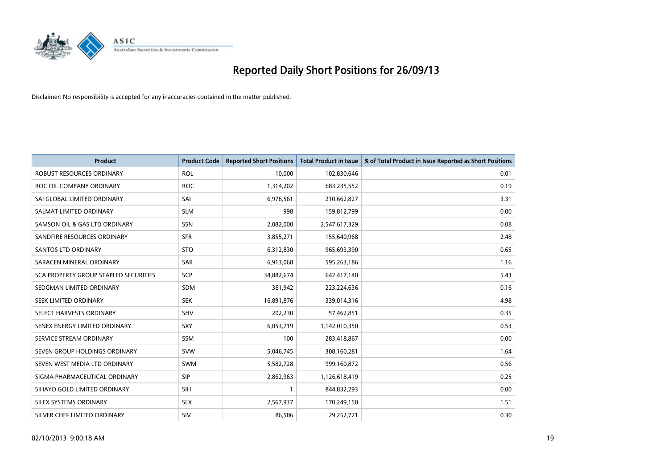

| <b>Product</b>                               | <b>Product Code</b> | <b>Reported Short Positions</b> | <b>Total Product in Issue</b> | % of Total Product in Issue Reported as Short Positions |
|----------------------------------------------|---------------------|---------------------------------|-------------------------------|---------------------------------------------------------|
| <b>ROBUST RESOURCES ORDINARY</b>             | <b>ROL</b>          | 10,000                          | 102,830,646                   | 0.01                                                    |
| ROC OIL COMPANY ORDINARY                     | <b>ROC</b>          | 1,314,202                       | 683,235,552                   | 0.19                                                    |
| SAI GLOBAL LIMITED ORDINARY                  | SAI                 | 6,976,561                       | 210,662,827                   | 3.31                                                    |
| SALMAT LIMITED ORDINARY                      | <b>SLM</b>          | 998                             | 159,812,799                   | 0.00                                                    |
| SAMSON OIL & GAS LTD ORDINARY                | SSN                 | 2,082,000                       | 2,547,617,329                 | 0.08                                                    |
| SANDFIRE RESOURCES ORDINARY                  | <b>SFR</b>          | 3,855,271                       | 155,640,968                   | 2.48                                                    |
| <b>SANTOS LTD ORDINARY</b>                   | <b>STO</b>          | 6,312,830                       | 965,693,390                   | 0.65                                                    |
| SARACEN MINERAL ORDINARY                     | <b>SAR</b>          | 6,913,068                       | 595,263,186                   | 1.16                                                    |
| <b>SCA PROPERTY GROUP STAPLED SECURITIES</b> | <b>SCP</b>          | 34,882,674                      | 642,417,140                   | 5.43                                                    |
| SEDGMAN LIMITED ORDINARY                     | <b>SDM</b>          | 361,942                         | 223,224,636                   | 0.16                                                    |
| SEEK LIMITED ORDINARY                        | <b>SEK</b>          | 16,891,876                      | 339,014,316                   | 4.98                                                    |
| SELECT HARVESTS ORDINARY                     | <b>SHV</b>          | 202,230                         | 57,462,851                    | 0.35                                                    |
| SENEX ENERGY LIMITED ORDINARY                | <b>SXY</b>          | 6,053,719                       | 1,142,010,350                 | 0.53                                                    |
| SERVICE STREAM ORDINARY                      | SSM                 | 100                             | 283,418,867                   | 0.00                                                    |
| SEVEN GROUP HOLDINGS ORDINARY                | <b>SVW</b>          | 5,046,745                       | 308,160,281                   | 1.64                                                    |
| SEVEN WEST MEDIA LTD ORDINARY                | SWM                 | 5,582,728                       | 999,160,872                   | 0.56                                                    |
| SIGMA PHARMACEUTICAL ORDINARY                | <b>SIP</b>          | 2,862,963                       | 1,126,618,419                 | 0.25                                                    |
| SIHAYO GOLD LIMITED ORDINARY                 | <b>SIH</b>          | 1                               | 844,832,293                   | 0.00                                                    |
| SILEX SYSTEMS ORDINARY                       | <b>SLX</b>          | 2,567,937                       | 170,249,150                   | 1.51                                                    |
| SILVER CHEF LIMITED ORDINARY                 | SIV                 | 86,586                          | 29,252,721                    | 0.30                                                    |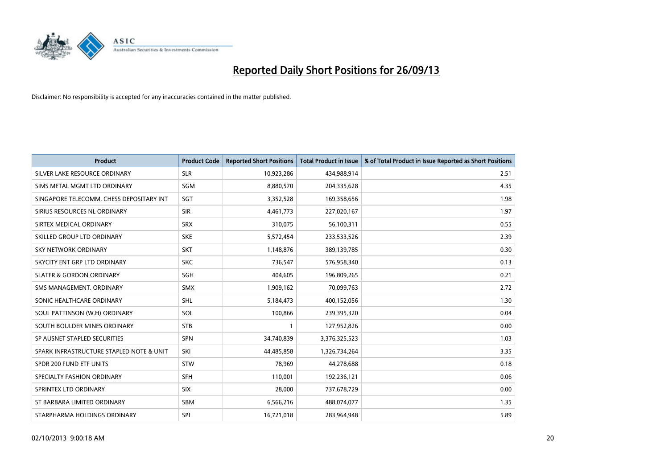

| <b>Product</b>                           | <b>Product Code</b> | <b>Reported Short Positions</b> | <b>Total Product in Issue</b> | % of Total Product in Issue Reported as Short Positions |
|------------------------------------------|---------------------|---------------------------------|-------------------------------|---------------------------------------------------------|
| SILVER LAKE RESOURCE ORDINARY            | <b>SLR</b>          | 10,923,286                      | 434,988,914                   | 2.51                                                    |
| SIMS METAL MGMT LTD ORDINARY             | <b>SGM</b>          | 8,880,570                       | 204,335,628                   | 4.35                                                    |
| SINGAPORE TELECOMM. CHESS DEPOSITARY INT | SGT                 | 3,352,528                       | 169,358,656                   | 1.98                                                    |
| SIRIUS RESOURCES NL ORDINARY             | <b>SIR</b>          | 4,461,773                       | 227,020,167                   | 1.97                                                    |
| SIRTEX MEDICAL ORDINARY                  | <b>SRX</b>          | 310,075                         | 56,100,311                    | 0.55                                                    |
| SKILLED GROUP LTD ORDINARY               | <b>SKE</b>          | 5,572,454                       | 233,533,526                   | 2.39                                                    |
| SKY NETWORK ORDINARY                     | <b>SKT</b>          | 1,148,876                       | 389,139,785                   | 0.30                                                    |
| SKYCITY ENT GRP LTD ORDINARY             | <b>SKC</b>          | 736,547                         | 576,958,340                   | 0.13                                                    |
| <b>SLATER &amp; GORDON ORDINARY</b>      | <b>SGH</b>          | 404,605                         | 196,809,265                   | 0.21                                                    |
| SMS MANAGEMENT, ORDINARY                 | <b>SMX</b>          | 1,909,162                       | 70,099,763                    | 2.72                                                    |
| SONIC HEALTHCARE ORDINARY                | <b>SHL</b>          | 5,184,473                       | 400,152,056                   | 1.30                                                    |
| SOUL PATTINSON (W.H) ORDINARY            | SOL                 | 100,866                         | 239,395,320                   | 0.04                                                    |
| SOUTH BOULDER MINES ORDINARY             | <b>STB</b>          | 1                               | 127,952,826                   | 0.00                                                    |
| SP AUSNET STAPLED SECURITIES             | SPN                 | 34,740,839                      | 3,376,325,523                 | 1.03                                                    |
| SPARK INFRASTRUCTURE STAPLED NOTE & UNIT | SKI                 | 44,485,858                      | 1,326,734,264                 | 3.35                                                    |
| SPDR 200 FUND ETF UNITS                  | <b>STW</b>          | 78,969                          | 44,278,688                    | 0.18                                                    |
| SPECIALTY FASHION ORDINARY               | <b>SFH</b>          | 110,001                         | 192,236,121                   | 0.06                                                    |
| SPRINTEX LTD ORDINARY                    | <b>SIX</b>          | 28,000                          | 737,678,729                   | 0.00                                                    |
| ST BARBARA LIMITED ORDINARY              | <b>SBM</b>          | 6,566,216                       | 488,074,077                   | 1.35                                                    |
| STARPHARMA HOLDINGS ORDINARY             | SPL                 | 16,721,018                      | 283,964,948                   | 5.89                                                    |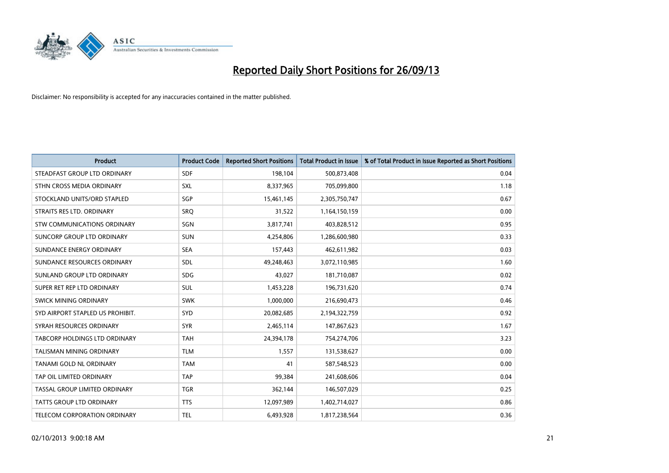

| <b>Product</b>                       | <b>Product Code</b> | <b>Reported Short Positions</b> | <b>Total Product in Issue</b> | % of Total Product in Issue Reported as Short Positions |
|--------------------------------------|---------------------|---------------------------------|-------------------------------|---------------------------------------------------------|
| STEADFAST GROUP LTD ORDINARY         | <b>SDF</b>          | 198,104                         | 500,873,408                   | 0.04                                                    |
| STHN CROSS MEDIA ORDINARY            | <b>SXL</b>          | 8,337,965                       | 705,099,800                   | 1.18                                                    |
| STOCKLAND UNITS/ORD STAPLED          | SGP                 | 15,461,145                      | 2,305,750,747                 | 0.67                                                    |
| STRAITS RES LTD. ORDINARY            | SRQ                 | 31,522                          | 1,164,150,159                 | 0.00                                                    |
| STW COMMUNICATIONS ORDINARY          | SGN                 | 3,817,741                       | 403,828,512                   | 0.95                                                    |
| SUNCORP GROUP LTD ORDINARY           | <b>SUN</b>          | 4,254,806                       | 1,286,600,980                 | 0.33                                                    |
| SUNDANCE ENERGY ORDINARY             | <b>SEA</b>          | 157,443                         | 462,611,982                   | 0.03                                                    |
| SUNDANCE RESOURCES ORDINARY          | <b>SDL</b>          | 49,248,463                      | 3,072,110,985                 | 1.60                                                    |
| SUNLAND GROUP LTD ORDINARY           | <b>SDG</b>          | 43.027                          | 181,710,087                   | 0.02                                                    |
| SUPER RET REP LTD ORDINARY           | <b>SUL</b>          | 1,453,228                       | 196,731,620                   | 0.74                                                    |
| SWICK MINING ORDINARY                | <b>SWK</b>          | 1,000,000                       | 216,690,473                   | 0.46                                                    |
| SYD AIRPORT STAPLED US PROHIBIT.     | <b>SYD</b>          | 20,082,685                      | 2,194,322,759                 | 0.92                                                    |
| SYRAH RESOURCES ORDINARY             | <b>SYR</b>          | 2,465,114                       | 147,867,623                   | 1.67                                                    |
| <b>TABCORP HOLDINGS LTD ORDINARY</b> | <b>TAH</b>          | 24,394,178                      | 754,274,706                   | 3.23                                                    |
| TALISMAN MINING ORDINARY             | <b>TLM</b>          | 1,557                           | 131,538,627                   | 0.00                                                    |
| TANAMI GOLD NL ORDINARY              | <b>TAM</b>          | 41                              | 587,548,523                   | 0.00                                                    |
| TAP OIL LIMITED ORDINARY             | <b>TAP</b>          | 99,384                          | 241,608,606                   | 0.04                                                    |
| TASSAL GROUP LIMITED ORDINARY        | <b>TGR</b>          | 362,144                         | 146,507,029                   | 0.25                                                    |
| <b>TATTS GROUP LTD ORDINARY</b>      | <b>TTS</b>          | 12,097,989                      | 1,402,714,027                 | 0.86                                                    |
| TELECOM CORPORATION ORDINARY         | <b>TEL</b>          | 6,493,928                       | 1,817,238,564                 | 0.36                                                    |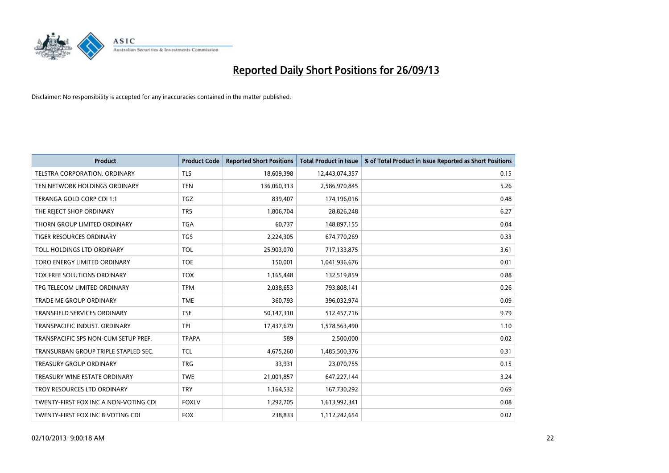

| <b>Product</b>                        | <b>Product Code</b> | <b>Reported Short Positions</b> | <b>Total Product in Issue</b> | % of Total Product in Issue Reported as Short Positions |
|---------------------------------------|---------------------|---------------------------------|-------------------------------|---------------------------------------------------------|
| TELSTRA CORPORATION, ORDINARY         | <b>TLS</b>          | 18,609,398                      | 12,443,074,357                | 0.15                                                    |
| TEN NETWORK HOLDINGS ORDINARY         | <b>TEN</b>          | 136,060,313                     | 2,586,970,845                 | 5.26                                                    |
| TERANGA GOLD CORP CDI 1:1             | <b>TGZ</b>          | 839,407                         | 174,196,016                   | 0.48                                                    |
| THE REJECT SHOP ORDINARY              | <b>TRS</b>          | 1,806,704                       | 28,826,248                    | 6.27                                                    |
| THORN GROUP LIMITED ORDINARY          | <b>TGA</b>          | 60,737                          | 148,897,155                   | 0.04                                                    |
| <b>TIGER RESOURCES ORDINARY</b>       | <b>TGS</b>          | 2,224,305                       | 674,770,269                   | 0.33                                                    |
| TOLL HOLDINGS LTD ORDINARY            | <b>TOL</b>          | 25,903,070                      | 717,133,875                   | 3.61                                                    |
| TORO ENERGY LIMITED ORDINARY          | <b>TOE</b>          | 150,001                         | 1,041,936,676                 | 0.01                                                    |
| TOX FREE SOLUTIONS ORDINARY           | <b>TOX</b>          | 1,165,448                       | 132,519,859                   | 0.88                                                    |
| TPG TELECOM LIMITED ORDINARY          | <b>TPM</b>          | 2,038,653                       | 793,808,141                   | 0.26                                                    |
| TRADE ME GROUP ORDINARY               | <b>TME</b>          | 360,793                         | 396,032,974                   | 0.09                                                    |
| <b>TRANSFIELD SERVICES ORDINARY</b>   | <b>TSE</b>          | 50,147,310                      | 512,457,716                   | 9.79                                                    |
| TRANSPACIFIC INDUST. ORDINARY         | <b>TPI</b>          | 17,437,679                      | 1,578,563,490                 | 1.10                                                    |
| TRANSPACIFIC SPS NON-CUM SETUP PREF.  | <b>TPAPA</b>        | 589                             | 2,500,000                     | 0.02                                                    |
| TRANSURBAN GROUP TRIPLE STAPLED SEC.  | <b>TCL</b>          | 4,675,260                       | 1,485,500,376                 | 0.31                                                    |
| TREASURY GROUP ORDINARY               | <b>TRG</b>          | 33,931                          | 23,070,755                    | 0.15                                                    |
| TREASURY WINE ESTATE ORDINARY         | <b>TWE</b>          | 21,001,857                      | 647,227,144                   | 3.24                                                    |
| TROY RESOURCES LTD ORDINARY           | <b>TRY</b>          | 1,164,532                       | 167,730,292                   | 0.69                                                    |
| TWENTY-FIRST FOX INC A NON-VOTING CDI | <b>FOXLV</b>        | 1,292,705                       | 1,613,992,341                 | 0.08                                                    |
| TWENTY-FIRST FOX INC B VOTING CDI     | <b>FOX</b>          | 238,833                         | 1,112,242,654                 | 0.02                                                    |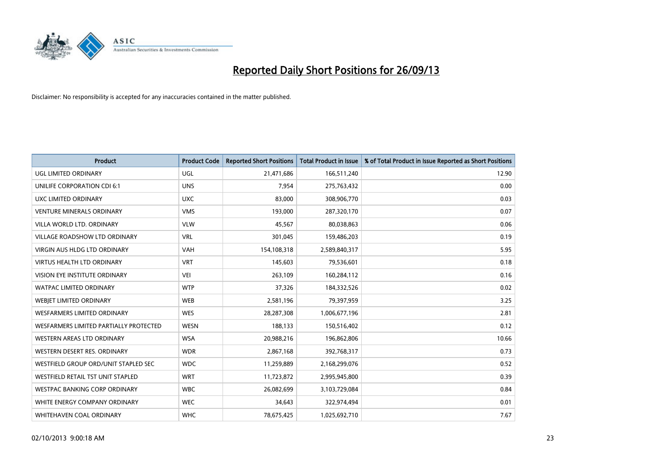

| <b>Product</b>                         | <b>Product Code</b> | <b>Reported Short Positions</b> | <b>Total Product in Issue</b> | % of Total Product in Issue Reported as Short Positions |
|----------------------------------------|---------------------|---------------------------------|-------------------------------|---------------------------------------------------------|
| <b>UGL LIMITED ORDINARY</b>            | UGL                 | 21,471,686                      | 166,511,240                   | 12.90                                                   |
| UNILIFE CORPORATION CDI 6:1            | <b>UNS</b>          | 7,954                           | 275,763,432                   | 0.00                                                    |
| UXC LIMITED ORDINARY                   | <b>UXC</b>          | 83,000                          | 308,906,770                   | 0.03                                                    |
| <b>VENTURE MINERALS ORDINARY</b>       | <b>VMS</b>          | 193,000                         | 287,320,170                   | 0.07                                                    |
| VILLA WORLD LTD. ORDINARY              | <b>VLW</b>          | 45,567                          | 80,038,863                    | 0.06                                                    |
| <b>VILLAGE ROADSHOW LTD ORDINARY</b>   | <b>VRL</b>          | 301,045                         | 159,486,203                   | 0.19                                                    |
| <b>VIRGIN AUS HLDG LTD ORDINARY</b>    | VAH                 | 154,108,318                     | 2,589,840,317                 | 5.95                                                    |
| <b>VIRTUS HEALTH LTD ORDINARY</b>      | <b>VRT</b>          | 145,603                         | 79,536,601                    | 0.18                                                    |
| VISION EYE INSTITUTE ORDINARY          | <b>VEI</b>          | 263,109                         | 160,284,112                   | 0.16                                                    |
| <b>WATPAC LIMITED ORDINARY</b>         | <b>WTP</b>          | 37,326                          | 184,332,526                   | 0.02                                                    |
| WEBJET LIMITED ORDINARY                | <b>WEB</b>          | 2,581,196                       | 79,397,959                    | 3.25                                                    |
| <b>WESFARMERS LIMITED ORDINARY</b>     | <b>WES</b>          | 28,287,308                      | 1,006,677,196                 | 2.81                                                    |
| WESFARMERS LIMITED PARTIALLY PROTECTED | <b>WESN</b>         | 188,133                         | 150,516,402                   | 0.12                                                    |
| WESTERN AREAS LTD ORDINARY             | <b>WSA</b>          | 20,988,216                      | 196,862,806                   | 10.66                                                   |
| WESTERN DESERT RES. ORDINARY           | <b>WDR</b>          | 2,867,168                       | 392,768,317                   | 0.73                                                    |
| WESTFIELD GROUP ORD/UNIT STAPLED SEC   | <b>WDC</b>          | 11,259,889                      | 2,168,299,076                 | 0.52                                                    |
| WESTFIELD RETAIL TST UNIT STAPLED      | <b>WRT</b>          | 11,723,872                      | 2,995,945,800                 | 0.39                                                    |
| WESTPAC BANKING CORP ORDINARY          | <b>WBC</b>          | 26,082,699                      | 3,103,729,084                 | 0.84                                                    |
| WHITE ENERGY COMPANY ORDINARY          | <b>WEC</b>          | 34,643                          | 322,974,494                   | 0.01                                                    |
| WHITEHAVEN COAL ORDINARY               | <b>WHC</b>          | 78,675,425                      | 1,025,692,710                 | 7.67                                                    |